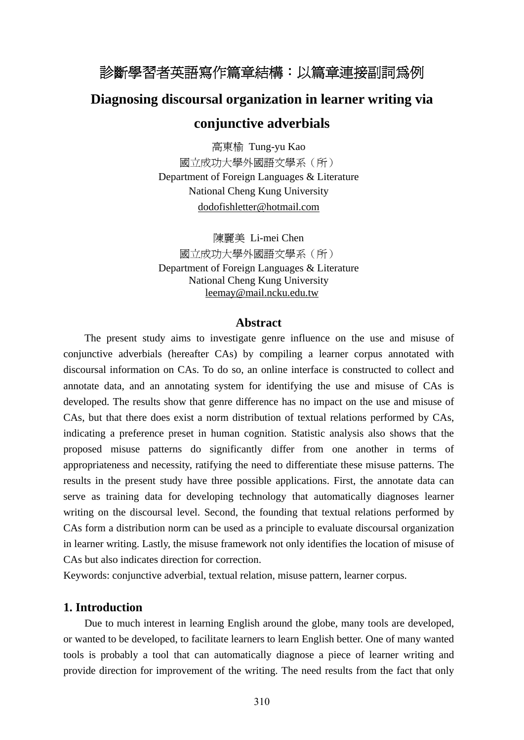# 診斷學習者英語寫作篇章結構:以篇章連接副詞為例

## **Diagnosing discoursal organization in learner writing via**

## **conjunctive adverbials**

高東榆 Tung-yu Kao 國立成功大學外國語文學系(所) Department of Foreign Languages & Literature National Cheng Kung University dodofishletter@hotmail.com

陳麗美 Li-mei Chen 國立成功大學外國語文學系(所) Department of Foreign Languages & Literature National Cheng Kung University leemay@mail.ncku.edu.tw

## **Abstract**

The present study aims to investigate genre influence on the use and misuse of conjunctive adverbials (hereafter CAs) by compiling a learner corpus annotated with discoursal information on CAs. To do so, an online interface is constructed to collect and annotate data, and an annotating system for identifying the use and misuse of CAs is developed. The results show that genre difference has no impact on the use and misuse of CAs, but that there does exist a norm distribution of textual relations performed by CAs, indicating a preference preset in human cognition. Statistic analysis also shows that the proposed misuse patterns do significantly differ from one another in terms of appropriateness and necessity, ratifying the need to differentiate these misuse patterns. The results in the present study have three possible applications. First, the annotate data can serve as training data for developing technology that automatically diagnoses learner writing on the discoursal level. Second, the founding that textual relations performed by CAs form a distribution norm can be used as a principle to evaluate discoursal organization in learner writing. Lastly, the misuse framework not only identifies the location of misuse of CAs but also indicates direction for correction.

Keywords: conjunctive adverbial, textual relation, misuse pattern, learner corpus.

### **1. Introduction**

Due to much interest in learning English around the globe, many tools are developed, or wanted to be developed, to facilitate learners to learn English better. One of many wanted tools is probably a tool that can automatically diagnose a piece of learner writing and provide direction for improvement of the writing. The need results from the fact that only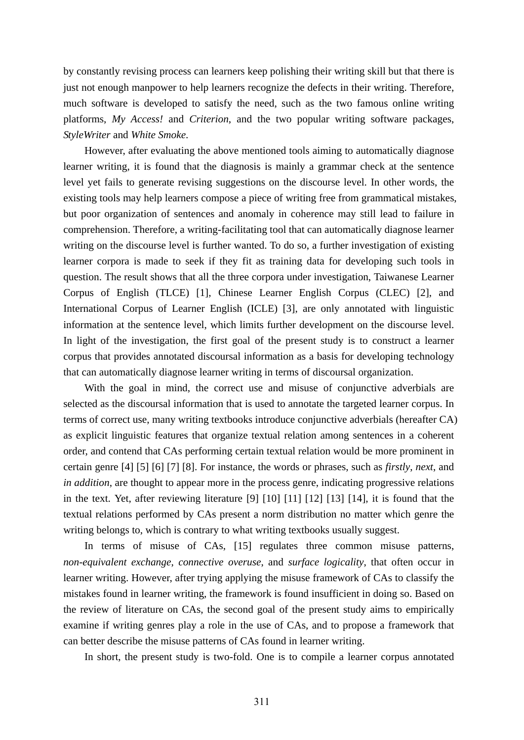by constantly revising process can learners keep polishing their writing skill but that there is just not enough manpower to help learners recognize the defects in their writing. Therefore, much software is developed to satisfy the need, such as the two famous online writing platforms, *My Access!* and *Criterion*, and the two popular writing software packages, *StyleWriter* and *White Smoke*.

However, after evaluating the above mentioned tools aiming to automatically diagnose learner writing, it is found that the diagnosis is mainly a grammar check at the sentence level yet fails to generate revising suggestions on the discourse level. In other words, the existing tools may help learners compose a piece of writing free from grammatical mistakes, but poor organization of sentences and anomaly in coherence may still lead to failure in comprehension. Therefore, a writing-facilitating tool that can automatically diagnose learner writing on the discourse level is further wanted. To do so, a further investigation of existing learner corpora is made to seek if they fit as training data for developing such tools in question. The result shows that all the three corpora under investigation, Taiwanese Learner Corpus of English (TLCE) [1], Chinese Learner English Corpus (CLEC) [2], and International Corpus of Learner English (ICLE) [3], are only annotated with linguistic information at the sentence level, which limits further development on the discourse level. In light of the investigation, the first goal of the present study is to construct a learner corpus that provides annotated discoursal information as a basis for developing technology that can automatically diagnose learner writing in terms of discoursal organization.

With the goal in mind, the correct use and misuse of conjunctive adverbials are selected as the discoursal information that is used to annotate the targeted learner corpus. In terms of correct use, many writing textbooks introduce conjunctive adverbials (hereafter CA) as explicit linguistic features that organize textual relation among sentences in a coherent order, and contend that CAs performing certain textual relation would be more prominent in certain genre [4] [5] [6] [7] [8]. For instance, the words or phrases, such as *firstly*, *next*, and *in addition*, are thought to appear more in the process genre, indicating progressive relations in the text. Yet, after reviewing literature [9] [10] [11] [12] [13] [14], it is found that the textual relations performed by CAs present a norm distribution no matter which genre the writing belongs to, which is contrary to what writing textbooks usually suggest.

In terms of misuse of CAs, [15] regulates three common misuse patterns, *non-equivalent exchange*, *connective overuse*, and *surface logicality*, that often occur in learner writing. However, after trying applying the misuse framework of CAs to classify the mistakes found in learner writing, the framework is found insufficient in doing so. Based on the review of literature on CAs, the second goal of the present study aims to empirically examine if writing genres play a role in the use of CAs, and to propose a framework that can better describe the misuse patterns of CAs found in learner writing.

In short, the present study is two-fold. One is to compile a learner corpus annotated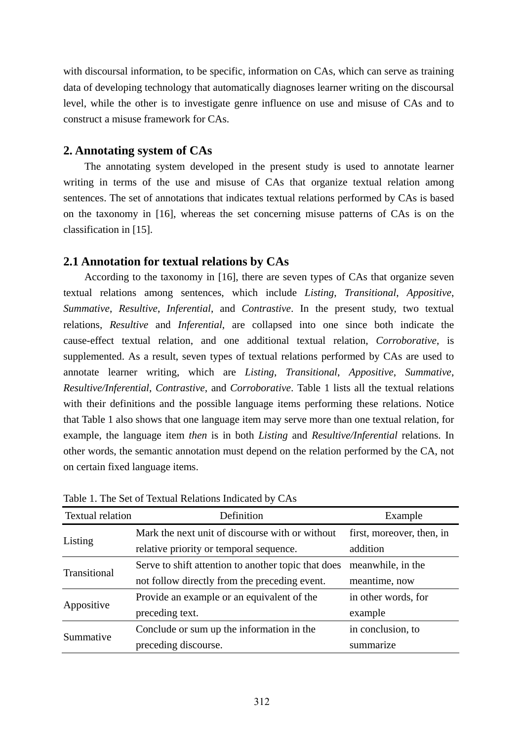with discoursal information, to be specific, information on CAs, which can serve as training data of developing technology that automatically diagnoses learner writing on the discoursal level, while the other is to investigate genre influence on use and misuse of CAs and to construct a misuse framework for CAs.

## **2. Annotating system of CAs**

 The annotating system developed in the present study is used to annotate learner writing in terms of the use and misuse of CAs that organize textual relation among sentences. The set of annotations that indicates textual relations performed by CAs is based on the taxonomy in [16], whereas the set concerning misuse patterns of CAs is on the classification in [15].

## **2.1 Annotation for textual relations by CAs**

 According to the taxonomy in [16], there are seven types of CAs that organize seven textual relations among sentences, which include *Listing*, *Transitional*, *Appositive*, *Summative*, *Resultive*, *Inferential*, and *Contrastive*. In the present study, two textual relations, *Resultive* and *Inferential*, are collapsed into one since both indicate the cause-effect textual relation, and one additional textual relation, *Corroborative*, is supplemented. As a result, seven types of textual relations performed by CAs are used to annotate learner writing, which are *Listing*, *Transitional*, *Appositive*, *Summative*, *Resultive/Inferential*, *Contrastive*, and *Corroborative*. Table 1 lists all the textual relations with their definitions and the possible language items performing these relations. Notice that Table 1 also shows that one language item may serve more than one textual relation, for example, the language item *then* is in both *Listing* and *Resultive/Inferential* relations. In other words, the semantic annotation must depend on the relation performed by the CA, not on certain fixed language items.

| <b>Textual relation</b> | Definition                                          | Example                   |  |
|-------------------------|-----------------------------------------------------|---------------------------|--|
|                         | Mark the next unit of discourse with or without     | first, moreover, then, in |  |
| Listing                 | relative priority or temporal sequence.             | addition                  |  |
| Transitional            | Serve to shift attention to another topic that does | meanwhile, in the         |  |
|                         | not follow directly from the preceding event.       | meantime, now             |  |
|                         | Provide an example or an equivalent of the          | in other words, for       |  |
| Appositive              | preceding text.                                     | example                   |  |
|                         | Conclude or sum up the information in the           | in conclusion, to         |  |
| Summative               | preceding discourse.                                | summarize                 |  |

Table 1. The Set of Textual Relations Indicated by CAs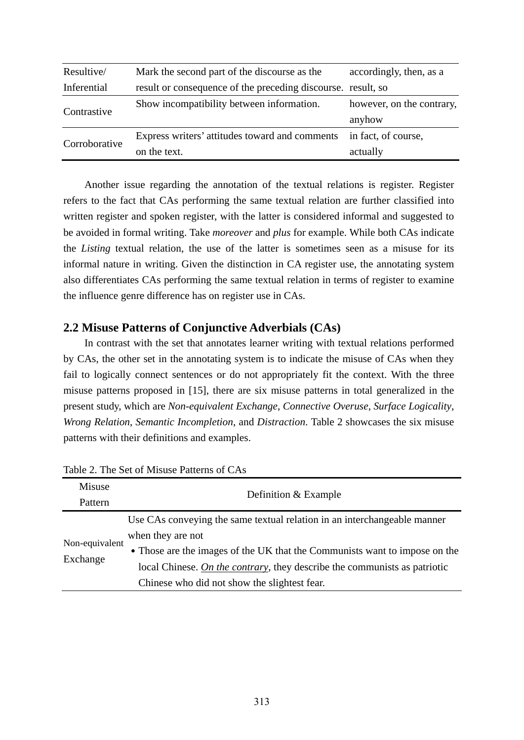| Resultive/    | Mark the second part of the discourse as the                 | accordingly, then, as a   |  |
|---------------|--------------------------------------------------------------|---------------------------|--|
| Inferential   | result or consequence of the preceding discourse. result, so |                           |  |
| Contrastive   | Show incompatibility between information.                    | however, on the contrary, |  |
|               |                                                              | anyhow                    |  |
| Corroborative | Express writers' attitudes toward and comments               | in fact, of course,       |  |
|               | on the text.                                                 | actually                  |  |

Another issue regarding the annotation of the textual relations is register. Register refers to the fact that CAs performing the same textual relation are further classified into written register and spoken register, with the latter is considered informal and suggested to be avoided in formal writing. Take *moreover* and *plus* for example. While both CAs indicate the *Listing* textual relation, the use of the latter is sometimes seen as a misuse for its informal nature in writing. Given the distinction in CA register use, the annotating system also differentiates CAs performing the same textual relation in terms of register to examine the influence genre difference has on register use in CAs.

## **2.2 Misuse Patterns of Conjunctive Adverbials (CAs)**

In contrast with the set that annotates learner writing with textual relations performed by CAs, the other set in the annotating system is to indicate the misuse of CAs when they fail to logically connect sentences or do not appropriately fit the context. With the three misuse patterns proposed in [15], there are six misuse patterns in total generalized in the present study, which are *Non-equivalent Exchange*, *Connective Overuse*, *Surface Logicality*, *Wrong Relation*, *Semantic Incompletion*, and *Distraction*. Table 2 showcases the six misuse patterns with their definitions and examples.

| Misuse                     | Definition & Example                                                       |  |  |  |
|----------------------------|----------------------------------------------------------------------------|--|--|--|
| Pattern                    |                                                                            |  |  |  |
|                            | Use CAs conveying the same textual relation in an interchangeable manner   |  |  |  |
|                            | when they are not                                                          |  |  |  |
| Non-equivalent<br>Exchange | • Those are the images of the UK that the Communists want to impose on the |  |  |  |
|                            | local Chinese. On the contrary, they describe the communists as patriotic  |  |  |  |
|                            | Chinese who did not show the slightest fear.                               |  |  |  |

Table 2. The Set of Misuse Patterns of CAs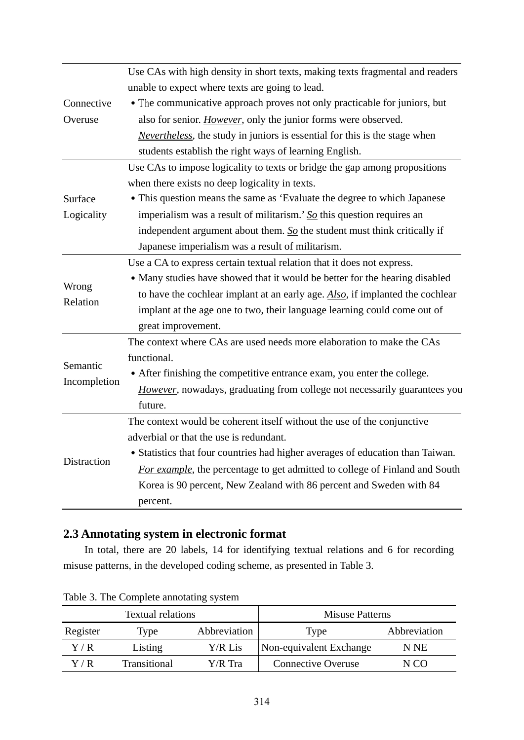|              | Use CAs with high density in short texts, making texts fragmental and readers          |  |  |  |  |  |
|--------------|----------------------------------------------------------------------------------------|--|--|--|--|--|
|              | unable to expect where texts are going to lead.                                        |  |  |  |  |  |
| Connective   | • The communicative approach proves not only practicable for juniors, but              |  |  |  |  |  |
| Overuse      | also for senior. However, only the junior forms were observed.                         |  |  |  |  |  |
|              | <i>Nevertheless</i> , the study in juniors is essential for this is the stage when     |  |  |  |  |  |
|              | students establish the right ways of learning English.                                 |  |  |  |  |  |
|              | Use CAs to impose logicality to texts or bridge the gap among propositions             |  |  |  |  |  |
|              | when there exists no deep logicality in texts.                                         |  |  |  |  |  |
| Surface      | • This question means the same as 'Evaluate the degree to which Japanese               |  |  |  |  |  |
| Logicality   | imperialism was a result of militarism.' $\underline{So}$ this question requires an    |  |  |  |  |  |
|              | independent argument about them. $\underline{So}$ the student must think critically if |  |  |  |  |  |
|              | Japanese imperialism was a result of militarism.                                       |  |  |  |  |  |
|              | Use a CA to express certain textual relation that it does not express.                 |  |  |  |  |  |
| Wrong        | • Many studies have showed that it would be better for the hearing disabled            |  |  |  |  |  |
| Relation     | to have the cochlear implant at an early age. Also, if implanted the cochlear          |  |  |  |  |  |
|              | implant at the age one to two, their language learning could come out of               |  |  |  |  |  |
|              | great improvement.                                                                     |  |  |  |  |  |
|              | The context where CAs are used needs more elaboration to make the CAs                  |  |  |  |  |  |
| Semantic     | functional.                                                                            |  |  |  |  |  |
| Incompletion | • After finishing the competitive entrance exam, you enter the college.                |  |  |  |  |  |
|              | However, nowadays, graduating from college not necessarily guarantees you              |  |  |  |  |  |
|              | future.                                                                                |  |  |  |  |  |
|              | The context would be coherent itself without the use of the conjunctive                |  |  |  |  |  |
|              | adverbial or that the use is redundant.                                                |  |  |  |  |  |
| Distraction  | • Statistics that four countries had higher averages of education than Taiwan.         |  |  |  |  |  |
|              | For example, the percentage to get admitted to college of Finland and South            |  |  |  |  |  |
|              | Korea is 90 percent, New Zealand with 86 percent and Sweden with 84                    |  |  |  |  |  |
|              | percent.                                                                               |  |  |  |  |  |

## **2.3 Annotating system in electronic format**

In total, there are 20 labels, 14 for identifying textual relations and 6 for recording misuse patterns, in the developed coding scheme, as presented in Table 3.

| Textual relations                |              |         | <b>Misuse Patterns</b>    |              |  |
|----------------------------------|--------------|---------|---------------------------|--------------|--|
| Abbreviation<br>Register<br>Type |              | Type    | Abbreviation              |              |  |
| Y / R                            | Listing      | Y/R Lis | Non-equivalent Exchange   | N NE         |  |
| Y / R                            | Transitional | Y/R Tra | <b>Connective Overuse</b> | $($ $\lceil$ |  |

Table 3. The Complete annotating system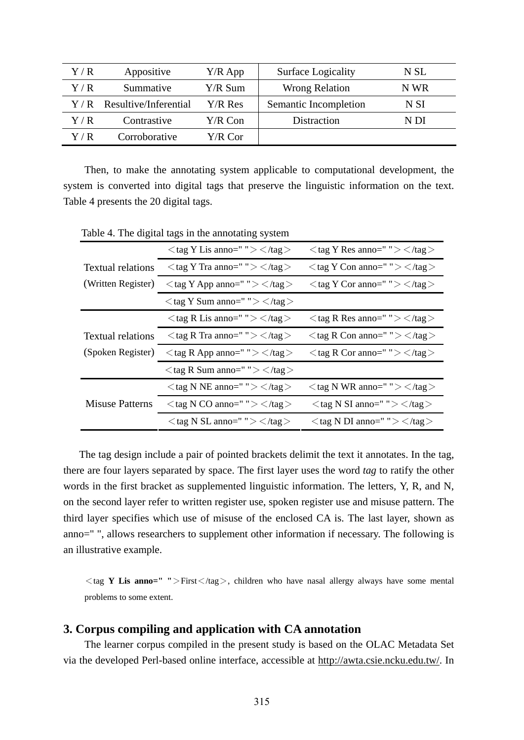| Y/R         | Appositive            | $Y/R$ App | <b>Surface Logicality</b> | N SL |
|-------------|-----------------------|-----------|---------------------------|------|
| Y/R         | Summative             | Y/R Sum   | <b>Wrong Relation</b>     | N WR |
| Y/R         | Resultive/Inferential | Y/R Res   | Semantic Incompletion     | N SI |
| Y/R         | Contrastive           | Y/R Con   | Distraction               | N DI |
| $\rm Y$ / R | Corroborative         | Y/R Cor   |                           |      |

Then, to make the annotating system applicable to computational development, the system is converted into digital tags that preserve the linguistic information on the text. Table 4 presents the 20 digital tags.

|                          | $\langle$ tag Y Lis anno=" "> $\langle$ /tag >                  | $\langle$ tag Y Res anno=" " $>\langle$ /tag $>$                |
|--------------------------|-----------------------------------------------------------------|-----------------------------------------------------------------|
| <b>Textual relations</b> | $\langle$ tag Y Tra anno=" " $>\langle$ /tag $>$                | $\langle$ tag Y Con anno=" "> $\langle$ /tag >                  |
| (Written Register)       | $\langle$ tag Y App anno=" "> $\langle$ /tag>                   | $\langle$ tag Y Cor anno=" " $>\langle$ /tag $>$                |
|                          | $\langle$ tag Y Sum anno=" " $>\langle$ /tag $>$                |                                                                 |
|                          | $\langle$ tag R Lis anno=" " $>\langle$ /tag $>$                | $\langle$ tag R Res anno=" " $\rangle$ $\langle$ /tag $\rangle$ |
| <b>Textual relations</b> | $\langle$ tag R Tra anno=" " $\rangle$ $\langle$ /tag $\rangle$ | $\langle$ tag R Con anno=" " $>\langle$ /tag $>$                |
| (Spoken Register)        | $\langle$ tag R App anno=" " $>\langle$ /tag $>$                | $\langle$ tag R Cor anno=" "> $\langle$ /tag >                  |
|                          | $\langle$ tag R Sum anno=" " $>\langle$ /tag $>$                |                                                                 |
|                          | $\langle$ tag N NE anno=" " $>\langle$ /tag $>$                 | $\langle$ tag N WR anno=" " $\rangle$ $\langle$ /tag $\rangle$  |
| <b>Misuse Patterns</b>   | $\langle$ tag N CO anno=" " $>\langle$ /tag $>$                 | $\langle$ tag N SI anno=" " $>\langle$ /tag $>$                 |
|                          | $\langle$ tag N SL anno=" " $\rangle$ $\langle$ /tag $\rangle$  | $\langle$ tag N DI anno=" " $>\langle$ /tag $>$                 |

Table 4. The digital tags in the annotating system

The tag design include a pair of pointed brackets delimit the text it annotates. In the tag, there are four layers separated by space. The first layer uses the word *tag* to ratify the other words in the first bracket as supplemented linguistic information. The letters, Y, R, and N, on the second layer refer to written register use, spoken register use and misuse pattern. The third layer specifies which use of misuse of the enclosed CA is. The last layer, shown as anno=" ", allows researchers to supplement other information if necessary. The following is an illustrative example.

<tag **Y Lis anno=" "**>First</tag>, children who have nasal allergy always have some mental problems to some extent.

## **3. Corpus compiling and application with CA annotation**

The learner corpus compiled in the present study is based on the OLAC Metadata Set via the developed Perl-based online interface, accessible at http://awta.csie.ncku.edu.tw/. In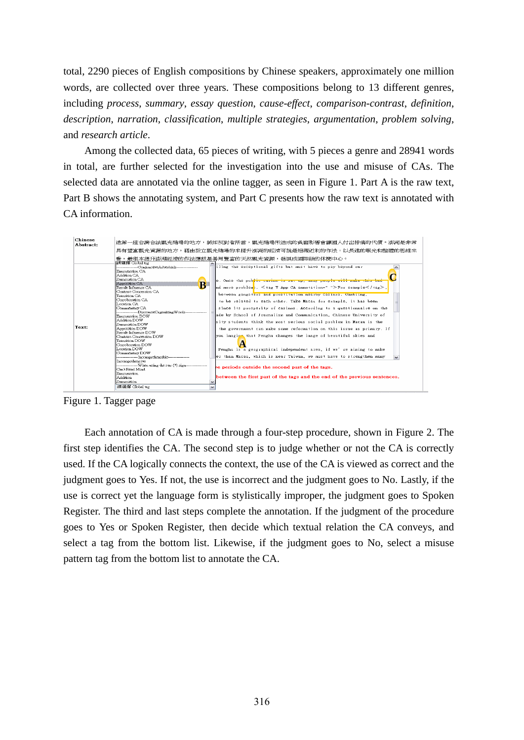total, 2290 pieces of English compositions by Chinese speakers, approximately one million words, are collected over three years. These compositions belong to 13 different genres, including *process*, *summary*, *essay question*, *cause-effect*, *comparison-contrast*, *definition*, *description*, *narration*, *classification*, *multiple strategies*, *argumentation*, *problem solving*, and *research article*.

Among the collected data, 65 pieces of writing, with 5 pieces a genre and 28941 words in total, are further selected for the investigation into the use and misuse of CAs. The selected data are annotated via the online tagger, as seen in Figure 1. Part A is the raw text, Part B shows the annotating system, and Part C presents how the raw text is annotated with CA information.



Figure 1. Tagger page

Each annotation of CA is made through a four-step procedure, shown in Figure 2. The first step identifies the CA. The second step is to judge whether or not the CA is correctly used. If the CA logically connects the context, the use of the CA is viewed as correct and the judgment goes to Yes. If not, the use is incorrect and the judgment goes to No. Lastly, if the use is correct yet the language form is stylistically improper, the judgment goes to Spoken Register. The third and last steps complete the annotation. If the judgment of the procedure goes to Yes or Spoken Register, then decide which textual relation the CA conveys, and select a tag from the bottom list. Likewise, if the judgment goes to No, select a misuse pattern tag from the bottom list to annotate the CA.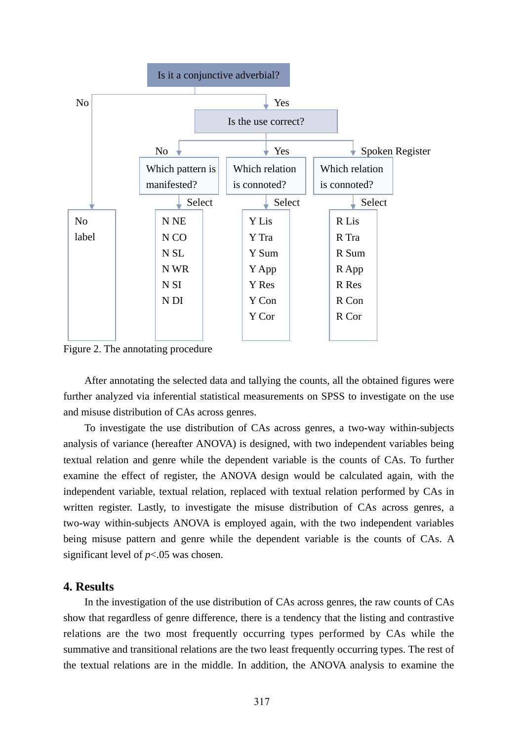

Figure 2. The annotating procedure

After annotating the selected data and tallying the counts, all the obtained figures were further analyzed via inferential statistical measurements on SPSS to investigate on the use and misuse distribution of CAs across genres.

To investigate the use distribution of CAs across genres, a two-way within-subjects analysis of variance (hereafter ANOVA) is designed, with two independent variables being textual relation and genre while the dependent variable is the counts of CAs. To further examine the effect of register, the ANOVA design would be calculated again, with the independent variable, textual relation, replaced with textual relation performed by CAs in written register. Lastly, to investigate the misuse distribution of CAs across genres, a two-way within-subjects ANOVA is employed again, with the two independent variables being misuse pattern and genre while the dependent variable is the counts of CAs. A significant level of *p*<.05 was chosen.

### **4. Results**

 In the investigation of the use distribution of CAs across genres, the raw counts of CAs show that regardless of genre difference, there is a tendency that the listing and contrastive relations are the two most frequently occurring types performed by CAs while the summative and transitional relations are the two least frequently occurring types. The rest of the textual relations are in the middle. In addition, the ANOVA analysis to examine the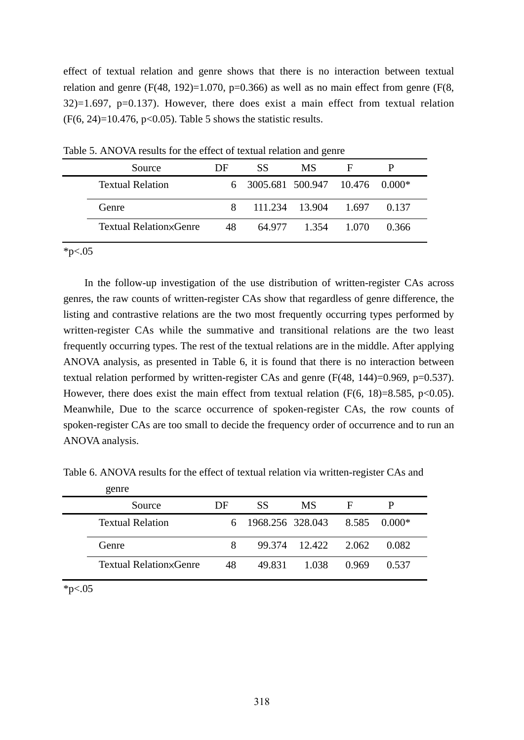effect of textual relation and genre shows that there is no interaction between textual relation and genre  $(F(48, 192)=1.070, p=0.366)$  as well as no main effect from genre  $(F(8, 192)=1.070, p=0.366)$  as well as no main effect from genre  $(F(8, 192)=1.070, p=0.366)$ 32)=1.697, p=0.137). However, there does exist a main effect from textual relation  $(F(6, 24)=10.476, p<0.05)$ . Table 5 shows the statistic results.

| Source                         | DF | SS                               | MS.   | Е     |       |
|--------------------------------|----|----------------------------------|-------|-------|-------|
| <b>Textual Relation</b>        |    | 6 3005.681 500.947 10.476 0.000* |       |       |       |
| Genre                          |    | 8 111.234 13.904 1.697           |       |       | 0.137 |
| <b>Textual Relation</b> Scenre | 48 | 64.977                           | 1.354 | 1.070 | 0.366 |

Table 5. ANOVA results for the effect of textual relation and genre

 $*p<.05$ 

 In the follow-up investigation of the use distribution of written-register CAs across genres, the raw counts of written-register CAs show that regardless of genre difference, the listing and contrastive relations are the two most frequently occurring types performed by written-register CAs while the summative and transitional relations are the two least frequently occurring types. The rest of the textual relations are in the middle. After applying ANOVA analysis, as presented in Table 6, it is found that there is no interaction between textual relation performed by written-register CAs and genre (F(48, 144)=0.969, p=0.537). However, there does exist the main effect from textual relation  $(F(6, 18)=8.585, p<0.05)$ . Meanwhile, Due to the scarce occurrence of spoken-register CAs, the row counts of spoken-register CAs are too small to decide the frequency order of occurrence and to run an ANOVA analysis.

| genre                   |    |                                 |                     |   |       |  |
|-------------------------|----|---------------------------------|---------------------|---|-------|--|
| Source                  | DE | SS                              | MS                  | Е |       |  |
| <b>Textual Relation</b> |    | 6 1968.256 328.043 8.585 0.000* |                     |   |       |  |
| Genre                   |    |                                 | 99.374 12.422 2.062 |   | 0.082 |  |

Textual Relation×Genre 48 49.831 1.038 0.969 0.537

Table 6. ANOVA results for the effect of textual relation via written-register CAs and

 $*p<.05$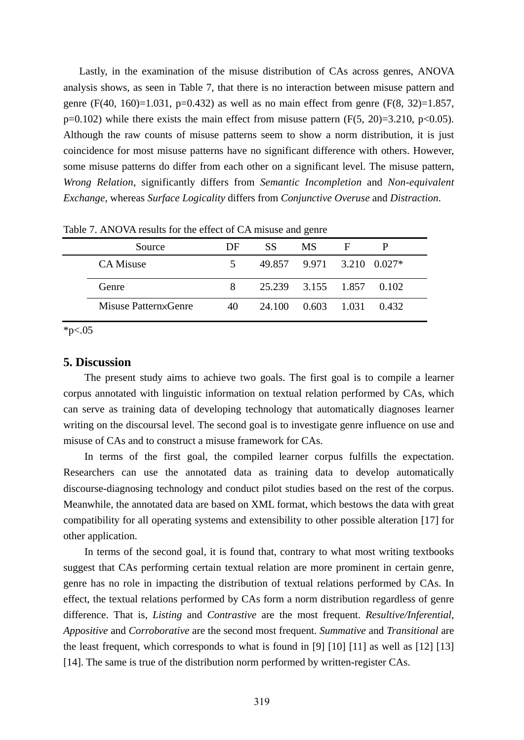Lastly, in the examination of the misuse distribution of CAs across genres, ANOVA analysis shows, as seen in Table 7, that there is no interaction between misuse pattern and genre (F(40, 160)=1.031, p=0.432) as well as no main effect from genre (F(8, 32)=1.857,  $p=0.102$ ) while there exists the main effect from misuse pattern (F(5, 20)=3.210, p<0.05). Although the raw counts of misuse patterns seem to show a norm distribution, it is just coincidence for most misuse patterns have no significant difference with others. However, some misuse patterns do differ from each other on a significant level. The misuse pattern, *Wrong Relation*, significantly differs from *Semantic Incompletion* and *Non-equivalent Exchange*, whereas *Surface Logicality* differs from *Conjunctive Overuse* and *Distraction*.

| Tuble 771 H TO 7111 counts for the effect of Criminal candidate |    |                          |                           |   |  |  |
|-----------------------------------------------------------------|----|--------------------------|---------------------------|---|--|--|
| Source                                                          | DF | SS.                      | MS.                       | F |  |  |
| CA Misuse                                                       | 5  |                          | 49.857 9.971 3.210 0.027* |   |  |  |
| Genre                                                           | 8  | 25.239 3.155 1.857 0.102 |                           |   |  |  |
| Misuse Patternx Genre                                           | 40 |                          | 24.100 0.603 1.031 0.432  |   |  |  |

Table 7. ANOVA results for the effect of CA misuse and genre

\*p $< 05$ 

#### **5. Discussion**

The present study aims to achieve two goals. The first goal is to compile a learner corpus annotated with linguistic information on textual relation performed by CAs, which can serve as training data of developing technology that automatically diagnoses learner writing on the discoursal level. The second goal is to investigate genre influence on use and misuse of CAs and to construct a misuse framework for CAs.

In terms of the first goal, the compiled learner corpus fulfills the expectation. Researchers can use the annotated data as training data to develop automatically discourse-diagnosing technology and conduct pilot studies based on the rest of the corpus. Meanwhile, the annotated data are based on XML format, which bestows the data with great compatibility for all operating systems and extensibility to other possible alteration [17] for other application.

In terms of the second goal, it is found that, contrary to what most writing textbooks suggest that CAs performing certain textual relation are more prominent in certain genre, genre has no role in impacting the distribution of textual relations performed by CAs. In effect, the textual relations performed by CAs form a norm distribution regardless of genre difference. That is, *Listing* and *Contrastive* are the most frequent. *Resultive/Inferential*, *Appositive* and *Corroborative* are the second most frequent. *Summative* and *Transitional* are the least frequent, which corresponds to what is found in [9] [10] [11] as well as [12] [13] [14]. The same is true of the distribution norm performed by written-register CAs.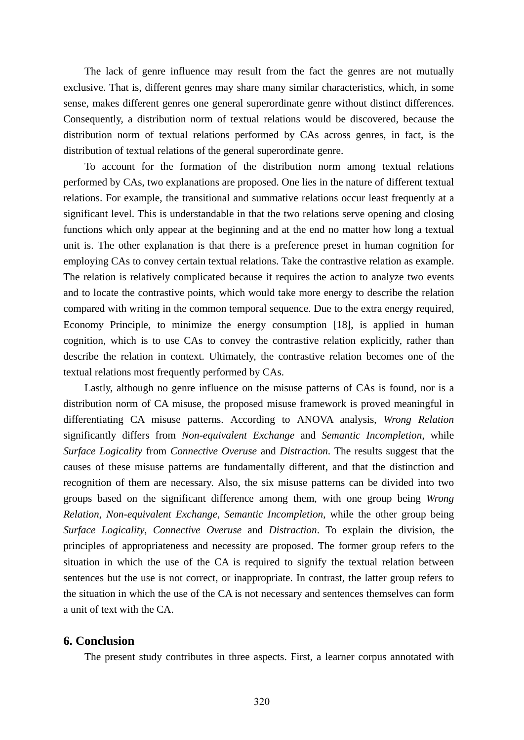The lack of genre influence may result from the fact the genres are not mutually exclusive. That is, different genres may share many similar characteristics, which, in some sense, makes different genres one general superordinate genre without distinct differences. Consequently, a distribution norm of textual relations would be discovered, because the distribution norm of textual relations performed by CAs across genres, in fact, is the distribution of textual relations of the general superordinate genre.

To account for the formation of the distribution norm among textual relations performed by CAs, two explanations are proposed. One lies in the nature of different textual relations. For example, the transitional and summative relations occur least frequently at a significant level. This is understandable in that the two relations serve opening and closing functions which only appear at the beginning and at the end no matter how long a textual unit is. The other explanation is that there is a preference preset in human cognition for employing CAs to convey certain textual relations. Take the contrastive relation as example. The relation is relatively complicated because it requires the action to analyze two events and to locate the contrastive points, which would take more energy to describe the relation compared with writing in the common temporal sequence. Due to the extra energy required, Economy Principle, to minimize the energy consumption [18], is applied in human cognition, which is to use CAs to convey the contrastive relation explicitly, rather than describe the relation in context. Ultimately, the contrastive relation becomes one of the textual relations most frequently performed by CAs.

Lastly, although no genre influence on the misuse patterns of CAs is found, nor is a distribution norm of CA misuse, the proposed misuse framework is proved meaningful in differentiating CA misuse patterns. According to ANOVA analysis, *Wrong Relation* significantly differs from *Non-equivalent Exchange* and *Semantic Incompletion*, while *Surface Logicality* from *Connective Overuse* and *Distraction*. The results suggest that the causes of these misuse patterns are fundamentally different, and that the distinction and recognition of them are necessary. Also, the six misuse patterns can be divided into two groups based on the significant difference among them, with one group being *Wrong Relation*, *Non-equivalent Exchange*, *Semantic Incompletion*, while the other group being *Surface Logicality*, *Connective Overuse* and *Distraction*. To explain the division, the principles of appropriateness and necessity are proposed. The former group refers to the situation in which the use of the CA is required to signify the textual relation between sentences but the use is not correct, or inappropriate. In contrast, the latter group refers to the situation in which the use of the CA is not necessary and sentences themselves can form a unit of text with the CA.

## **6. Conclusion**

The present study contributes in three aspects. First, a learner corpus annotated with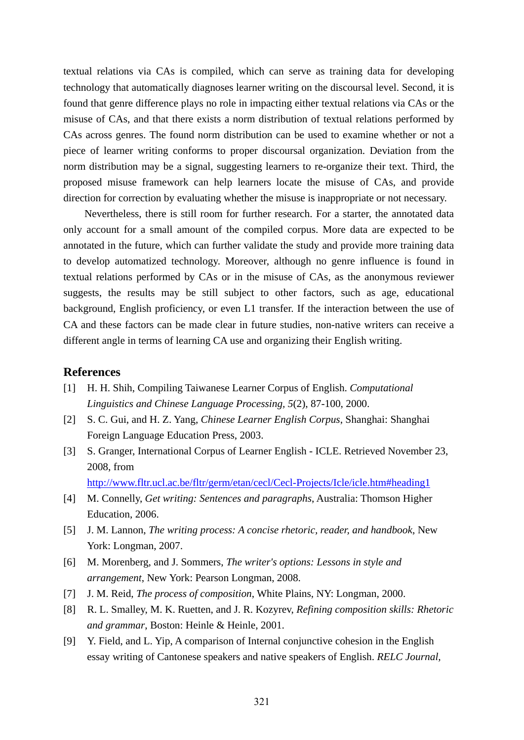textual relations via CAs is compiled, which can serve as training data for developing technology that automatically diagnoses learner writing on the discoursal level. Second, it is found that genre difference plays no role in impacting either textual relations via CAs or the misuse of CAs, and that there exists a norm distribution of textual relations performed by CAs across genres. The found norm distribution can be used to examine whether or not a piece of learner writing conforms to proper discoursal organization. Deviation from the norm distribution may be a signal, suggesting learners to re-organize their text. Third, the proposed misuse framework can help learners locate the misuse of CAs, and provide direction for correction by evaluating whether the misuse is inappropriate or not necessary.

Nevertheless, there is still room for further research. For a starter, the annotated data only account for a small amount of the compiled corpus. More data are expected to be annotated in the future, which can further validate the study and provide more training data to develop automatized technology. Moreover, although no genre influence is found in textual relations performed by CAs or in the misuse of CAs, as the anonymous reviewer suggests, the results may be still subject to other factors, such as age, educational background, English proficiency, or even L1 transfer. If the interaction between the use of CA and these factors can be made clear in future studies, non-native writers can receive a different angle in terms of learning CA use and organizing their English writing.

### **References**

- [1] H. H. Shih, Compiling Taiwanese Learner Corpus of English. *Computational Linguistics and Chinese Language Processing, 5*(2), 87-100, 2000.
- [2] S. C. Gui, and H. Z. Yang, *Chinese Learner English Corpus*, Shanghai: Shanghai Foreign Language Education Press, 2003.
- [3] S. Granger, International Corpus of Learner English ICLE. Retrieved November 23, 2008, from

http://www.fltr.ucl.ac.be/fltr/germ/etan/cecl/Cecl-Projects/Icle/icle.htm#heading1

- [4] M. Connelly, *Get writing: Sentences and paragraphs*, Australia: Thomson Higher Education, 2006.
- [5] J. M. Lannon, *The writing process: A concise rhetoric, reader, and handbook*, New York: Longman, 2007.
- [6] M. Morenberg, and J. Sommers, *The writer's options: Lessons in style and arrangement*, New York: Pearson Longman, 2008.
- [7] J. M. Reid, *The process of composition*, White Plains, NY: Longman, 2000.
- [8] R. L. Smalley, M. K. Ruetten, and J. R. Kozyrev, *Refining composition skills: Rhetoric and grammar*, Boston: Heinle & Heinle, 2001.
- [9] Y. Field, and L. Yip, A comparison of Internal conjunctive cohesion in the English essay writing of Cantonese speakers and native speakers of English. *RELC Journal,*